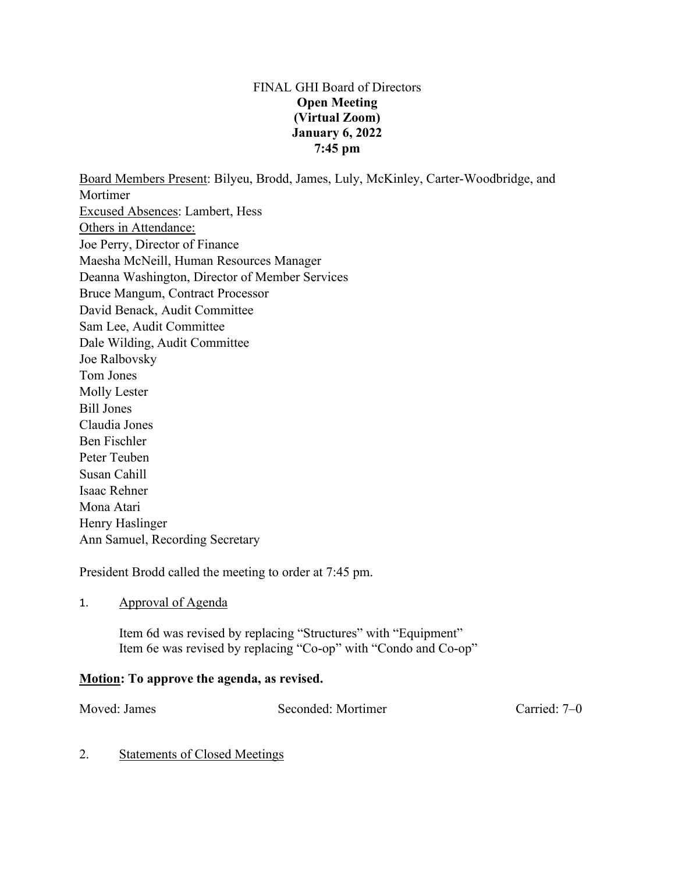## FINAL GHI Board of Directors **Open Meeting (Virtual Zoom) January 6, 2022 7:45 pm**

Board Members Present: Bilyeu, Brodd, James, Luly, McKinley, Carter-Woodbridge, and Mortimer Excused Absences: Lambert, Hess Others in Attendance: Joe Perry, Director of Finance Maesha McNeill, Human Resources Manager Deanna Washington, Director of Member Services Bruce Mangum, Contract Processor David Benack, Audit Committee Sam Lee, Audit Committee Dale Wilding, Audit Committee Joe Ralbovsky Tom Jones Molly Lester Bill Jones Claudia Jones Ben Fischler Peter Teuben Susan Cahill Isaac Rehner Mona Atari Henry Haslinger Ann Samuel, Recording Secretary

President Brodd called the meeting to order at 7:45 pm.

### 1. Approval of Agenda

Item 6d was revised by replacing "Structures" with "Equipment" Item 6e was revised by replacing "Co-op" with "Condo and Co-op"

## **Motion: To approve the agenda, as revised.**

Moved: James Seconded: Mortimer Carried: 7–0

### 2. Statements of Closed Meetings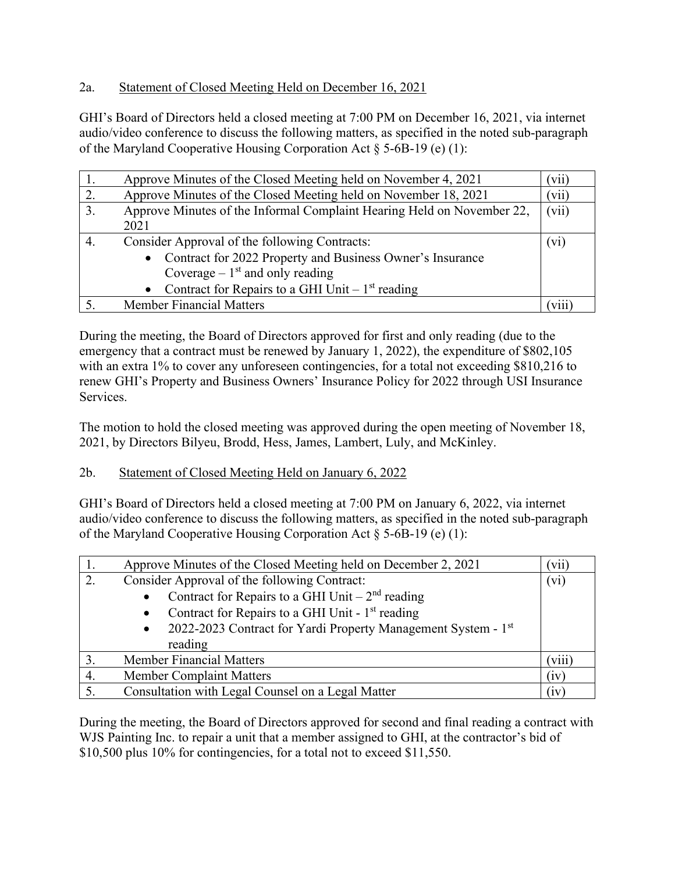# 2a. Statement of Closed Meeting Held on December 16, 2021

GHI's Board of Directors held a closed meeting at 7:00 PM on December 16, 2021, via internet audio/video conference to discuss the following matters, as specified in the noted sub-paragraph of the Maryland Cooperative Housing Corporation Act  $\delta$  5-6B-19 (e) (1):

|    | Approve Minutes of the Closed Meeting held on November 4, 2021         | (vii) |
|----|------------------------------------------------------------------------|-------|
| 2. | Approve Minutes of the Closed Meeting held on November 18, 2021        | (vii) |
| 3. | Approve Minutes of the Informal Complaint Hearing Held on November 22, | (vii) |
|    | 2021                                                                   |       |
| 4. | Consider Approval of the following Contracts:                          | (V1)  |
|    | Contract for 2022 Property and Business Owner's Insurance<br>$\bullet$ |       |
|    | Coverage – $1st$ and only reading                                      |       |
|    | Contract for Repairs to a GHI Unit $-1st$ reading                      |       |
|    | <b>Member Financial Matters</b>                                        |       |

During the meeting, the Board of Directors approved for first and only reading (due to the emergency that a contract must be renewed by January 1, 2022), the expenditure of \$802,105 with an extra 1% to cover any unforeseen contingencies, for a total not exceeding \$810,216 to renew GHI's Property and Business Owners' Insurance Policy for 2022 through USI Insurance Services.

The motion to hold the closed meeting was approved during the open meeting of November 18, 2021, by Directors Bilyeu, Brodd, Hess, James, Lambert, Luly, and McKinley.

## 2b. Statement of Closed Meeting Held on January 6, 2022

GHI's Board of Directors held a closed meeting at 7:00 PM on January 6, 2022, via internet audio/video conference to discuss the following matters, as specified in the noted sub-paragraph of the Maryland Cooperative Housing Corporation Act § 5-6B-19 (e) (1):

|    | Approve Minutes of the Closed Meeting held on December 2, 2021             | ( V11 ) |
|----|----------------------------------------------------------------------------|---------|
| 2. | Consider Approval of the following Contract:                               |         |
|    | Contract for Repairs to a GHI Unit $-2nd$ reading<br>$\bullet$             |         |
|    | Contract for Repairs to a GHI Unit - 1st reading<br>$\bullet$              |         |
|    | 2022-2023 Contract for Yardi Property Management System - 1st<br>$\bullet$ |         |
|    | reading                                                                    |         |
|    | <b>Member Financial Matters</b>                                            | (viii)  |
| 4. | <b>Member Complaint Matters</b>                                            | (iv)    |
|    | Consultation with Legal Counsel on a Legal Matter                          | (iv)    |

During the meeting, the Board of Directors approved for second and final reading a contract with WJS Painting Inc. to repair a unit that a member assigned to GHI, at the contractor's bid of \$10,500 plus 10% for contingencies, for a total not to exceed \$11,550.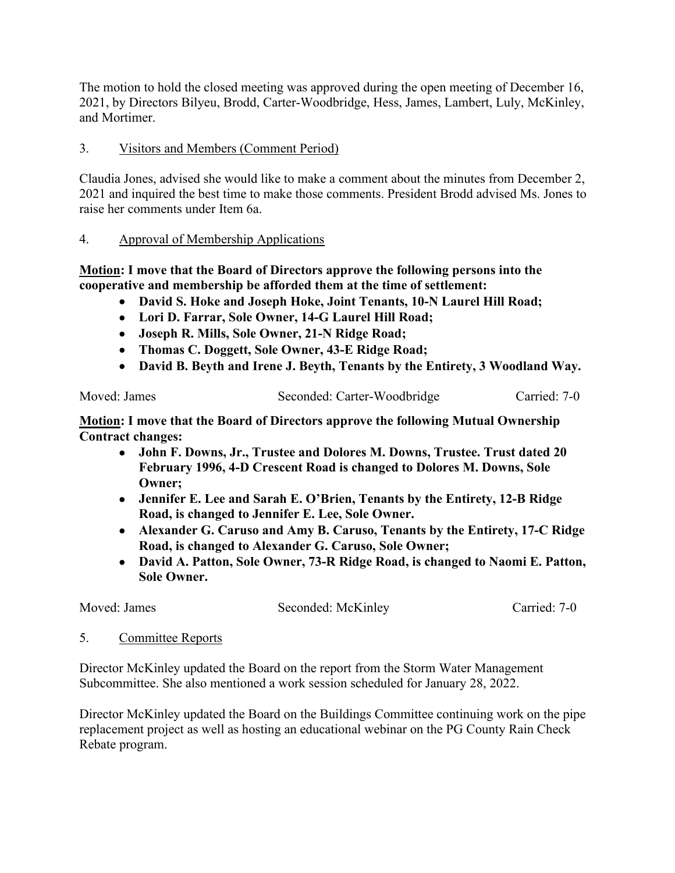The motion to hold the closed meeting was approved during the open meeting of December 16, 2021, by Directors Bilyeu, Brodd, Carter-Woodbridge, Hess, James, Lambert, Luly, McKinley, and Mortimer.

## 3. Visitors and Members (Comment Period)

Claudia Jones, advised she would like to make a comment about the minutes from December 2, 2021 and inquired the best time to make those comments. President Brodd advised Ms. Jones to raise her comments under Item 6a.

## 4. Approval of Membership Applications

**Motion: I move that the Board of Directors approve the following persons into the cooperative and membership be afforded them at the time of settlement:**

- **David S. Hoke and Joseph Hoke, Joint Tenants, 10-N Laurel Hill Road;**
- **Lori D. Farrar, Sole Owner, 14-G Laurel Hill Road;**
- **Joseph R. Mills, Sole Owner, 21-N Ridge Road;**
- **Thomas C. Doggett, Sole Owner, 43-E Ridge Road;**
- **David B. Beyth and Irene J. Beyth, Tenants by the Entirety, 3 Woodland Way.**

Moved: James Seconded: Carter-Woodbridge Carried: 7-0

**Motion: I move that the Board of Directors approve the following Mutual Ownership Contract changes:**

- **John F. Downs, Jr., Trustee and Dolores M. Downs, Trustee. Trust dated 20 February 1996, 4-D Crescent Road is changed to Dolores M. Downs, Sole Owner;**
- **Jennifer E. Lee and Sarah E. O'Brien, Tenants by the Entirety, 12-B Ridge Road, is changed to Jennifer E. Lee, Sole Owner.**
- **Alexander G. Caruso and Amy B. Caruso, Tenants by the Entirety, 17-C Ridge Road, is changed to Alexander G. Caruso, Sole Owner;**
- **David A. Patton, Sole Owner, 73-R Ridge Road, is changed to Naomi E. Patton, Sole Owner.**

Moved: James Seconded: McKinley Carried: 7-0

5. Committee Reports

Director McKinley updated the Board on the report from the Storm Water Management Subcommittee. She also mentioned a work session scheduled for January 28, 2022.

Director McKinley updated the Board on the Buildings Committee continuing work on the pipe replacement project as well as hosting an educational webinar on the PG County Rain Check Rebate program.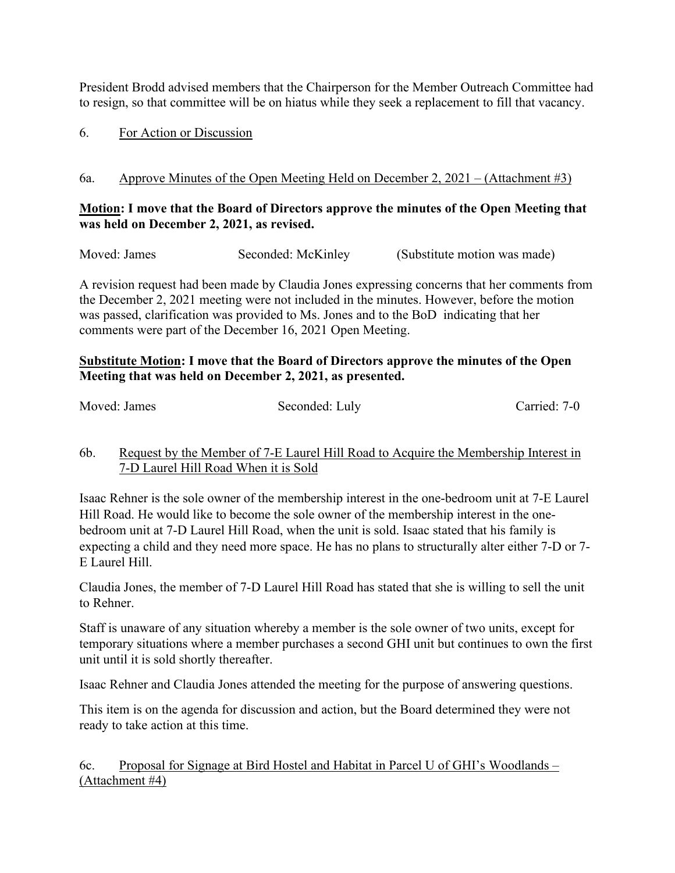President Brodd advised members that the Chairperson for the Member Outreach Committee had to resign, so that committee will be on hiatus while they seek a replacement to fill that vacancy.

## 6. For Action or Discussion

# 6a. Approve Minutes of the Open Meeting Held on December 2, 2021 – (Attachment #3)

## **Motion: I move that the Board of Directors approve the minutes of the Open Meeting that was held on December 2, 2021, as revised.**

Moved: James Seconded: McKinley (Substitute motion was made)

A revision request had been made by Claudia Jones expressing concerns that her comments from the December 2, 2021 meeting were not included in the minutes. However, before the motion was passed, clarification was provided to Ms. Jones and to the BoD indicating that her comments were part of the December 16, 2021 Open Meeting.

## **Substitute Motion: I move that the Board of Directors approve the minutes of the Open Meeting that was held on December 2, 2021, as presented.**

| Moved: James | Seconded: Luly | Carried: 7-0 |
|--------------|----------------|--------------|
|              |                |              |

# 6b. Request by the Member of 7-E Laurel Hill Road to Acquire the Membership Interest in 7-D Laurel Hill Road When it is Sold

Isaac Rehner is the sole owner of the membership interest in the one-bedroom unit at 7-E Laurel Hill Road. He would like to become the sole owner of the membership interest in the onebedroom unit at 7-D Laurel Hill Road, when the unit is sold. Isaac stated that his family is expecting a child and they need more space. He has no plans to structurally alter either 7-D or 7- E Laurel Hill.

Claudia Jones, the member of 7-D Laurel Hill Road has stated that she is willing to sell the unit to Rehner.

Staff is unaware of any situation whereby a member is the sole owner of two units, except for temporary situations where a member purchases a second GHI unit but continues to own the first unit until it is sold shortly thereafter.

Isaac Rehner and Claudia Jones attended the meeting for the purpose of answering questions.

This item is on the agenda for discussion and action, but the Board determined they were not ready to take action at this time.

6c. Proposal for Signage at Bird Hostel and Habitat in Parcel U of GHI's Woodlands – (Attachment #4)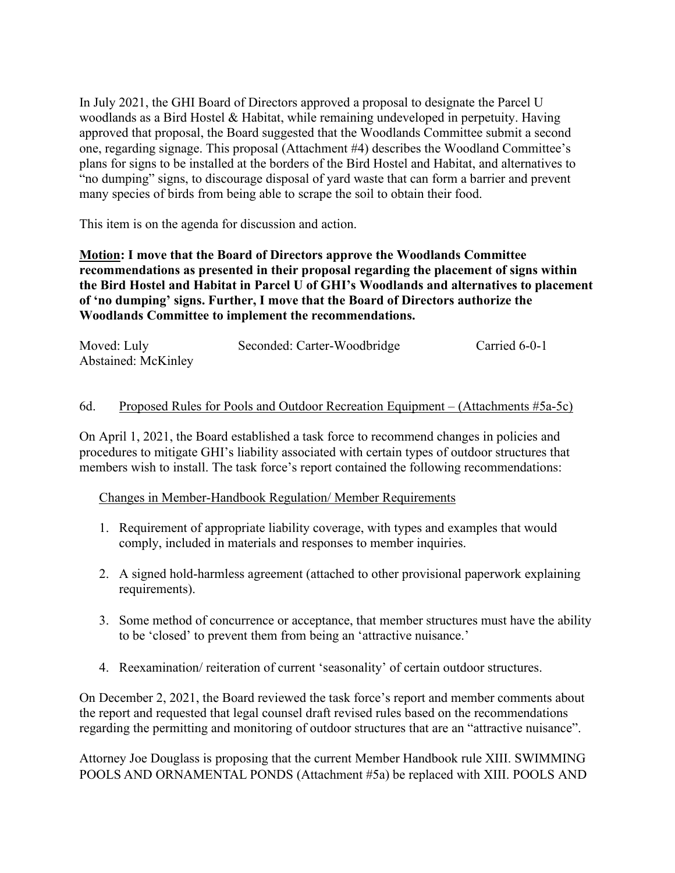In July 2021, the GHI Board of Directors approved a proposal to designate the Parcel U woodlands as a Bird Hostel & Habitat, while remaining undeveloped in perpetuity. Having approved that proposal, the Board suggested that the Woodlands Committee submit a second one, regarding signage. This proposal (Attachment #4) describes the Woodland Committee's plans for signs to be installed at the borders of the Bird Hostel and Habitat, and alternatives to "no dumping" signs, to discourage disposal of yard waste that can form a barrier and prevent many species of birds from being able to scrape the soil to obtain their food.

This item is on the agenda for discussion and action.

**Motion: I move that the Board of Directors approve the Woodlands Committee recommendations as presented in their proposal regarding the placement of signs within the Bird Hostel and Habitat in Parcel U of GHI's Woodlands and alternatives to placement of 'no dumping' signs. Further, I move that the Board of Directors authorize the Woodlands Committee to implement the recommendations.** 

| Moved: Luly         | Seconded: Carter-Woodbridge | Carried 6-0-1 |
|---------------------|-----------------------------|---------------|
| Abstained: McKinley |                             |               |

### 6d. Proposed Rules for Pools and Outdoor Recreation Equipment – (Attachments #5a-5c)

On April 1, 2021, the Board established a task force to recommend changes in policies and procedures to mitigate GHI's liability associated with certain types of outdoor structures that members wish to install. The task force's report contained the following recommendations:

Changes in Member-Handbook Regulation/ Member Requirements

- 1. Requirement of appropriate liability coverage, with types and examples that would comply, included in materials and responses to member inquiries.
- 2. A signed hold-harmless agreement (attached to other provisional paperwork explaining requirements).
- 3. Some method of concurrence or acceptance, that member structures must have the ability to be 'closed' to prevent them from being an 'attractive nuisance.'
- 4. Reexamination/ reiteration of current 'seasonality' of certain outdoor structures.

On December 2, 2021, the Board reviewed the task force's report and member comments about the report and requested that legal counsel draft revised rules based on the recommendations regarding the permitting and monitoring of outdoor structures that are an "attractive nuisance".

Attorney Joe Douglass is proposing that the current Member Handbook rule XIII. SWIMMING POOLS AND ORNAMENTAL PONDS (Attachment #5a) be replaced with XIII. POOLS AND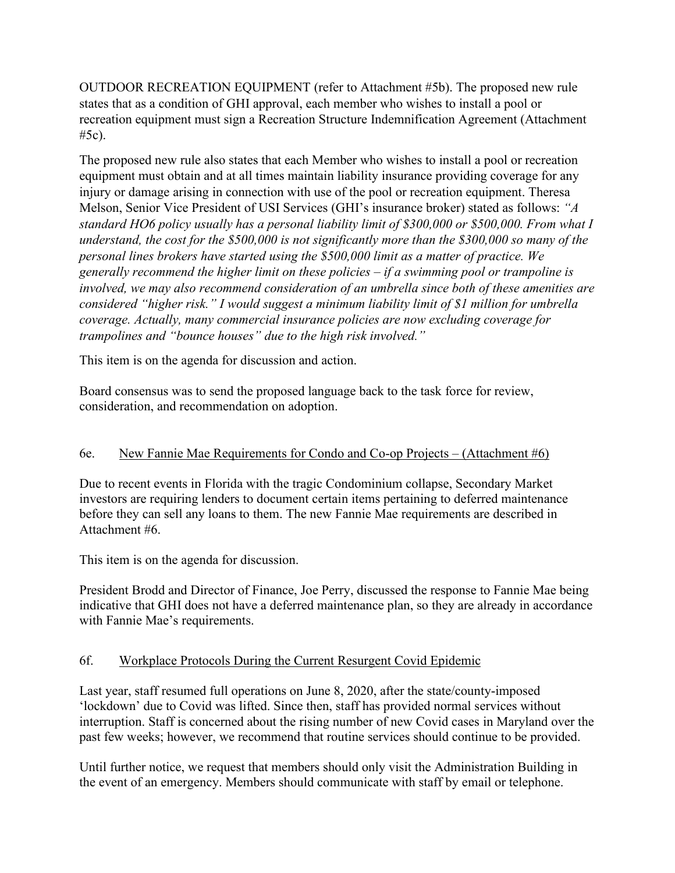OUTDOOR RECREATION EQUIPMENT (refer to Attachment #5b). The proposed new rule states that as a condition of GHI approval, each member who wishes to install a pool or recreation equipment must sign a Recreation Structure Indemnification Agreement (Attachment #5c).

The proposed new rule also states that each Member who wishes to install a pool or recreation equipment must obtain and at all times maintain liability insurance providing coverage for any injury or damage arising in connection with use of the pool or recreation equipment. Theresa Melson, Senior Vice President of USI Services (GHI's insurance broker) stated as follows: *"A standard HO6 policy usually has a personal liability limit of \$300,000 or \$500,000. From what I understand, the cost for the \$500,000 is not significantly more than the \$300,000 so many of the personal lines brokers have started using the \$500,000 limit as a matter of practice. We generally recommend the higher limit on these policies – if a swimming pool or trampoline is involved, we may also recommend consideration of an umbrella since both of these amenities are considered "higher risk." I would suggest a minimum liability limit of \$1 million for umbrella coverage. Actually, many commercial insurance policies are now excluding coverage for trampolines and "bounce houses" due to the high risk involved."*

This item is on the agenda for discussion and action.

Board consensus was to send the proposed language back to the task force for review, consideration, and recommendation on adoption.

## 6e. New Fannie Mae Requirements for Condo and Co-op Projects – (Attachment #6)

Due to recent events in Florida with the tragic Condominium collapse, Secondary Market investors are requiring lenders to document certain items pertaining to deferred maintenance before they can sell any loans to them. The new Fannie Mae requirements are described in Attachment #6.

This item is on the agenda for discussion.

President Brodd and Director of Finance, Joe Perry, discussed the response to Fannie Mae being indicative that GHI does not have a deferred maintenance plan, so they are already in accordance with Fannie Mae's requirements.

# 6f. Workplace Protocols During the Current Resurgent Covid Epidemic

Last year, staff resumed full operations on June 8, 2020, after the state/county-imposed 'lockdown' due to Covid was lifted. Since then, staff has provided normal services without interruption. Staff is concerned about the rising number of new Covid cases in Maryland over the past few weeks; however, we recommend that routine services should continue to be provided.

Until further notice, we request that members should only visit the Administration Building in the event of an emergency. Members should communicate with staff by email or telephone.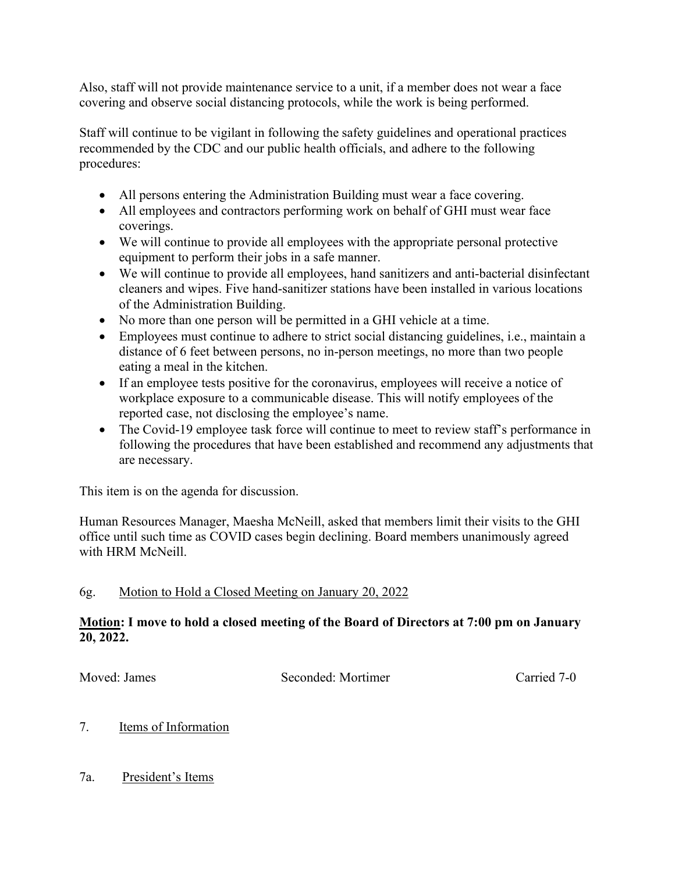Also, staff will not provide maintenance service to a unit, if a member does not wear a face covering and observe social distancing protocols, while the work is being performed.

Staff will continue to be vigilant in following the safety guidelines and operational practices recommended by the CDC and our public health officials, and adhere to the following procedures:

- All persons entering the Administration Building must wear a face covering.
- All employees and contractors performing work on behalf of GHI must wear face coverings.
- We will continue to provide all employees with the appropriate personal protective equipment to perform their jobs in a safe manner.
- We will continue to provide all employees, hand sanitizers and anti-bacterial disinfectant cleaners and wipes. Five hand-sanitizer stations have been installed in various locations of the Administration Building.
- No more than one person will be permitted in a GHI vehicle at a time.
- Employees must continue to adhere to strict social distancing guidelines, i.e., maintain a distance of 6 feet between persons, no in-person meetings, no more than two people eating a meal in the kitchen.
- If an employee tests positive for the coronavirus, employees will receive a notice of workplace exposure to a communicable disease. This will notify employees of the reported case, not disclosing the employee's name.
- The Covid-19 employee task force will continue to meet to review staff's performance in following the procedures that have been established and recommend any adjustments that are necessary.

This item is on the agenda for discussion.

Human Resources Manager, Maesha McNeill, asked that members limit their visits to the GHI office until such time as COVID cases begin declining. Board members unanimously agreed with HRM McNeill.

## 6g. Motion to Hold a Closed Meeting on January 20, 2022

## **Motion: I move to hold a closed meeting of the Board of Directors at 7:00 pm on January 20, 2022.**

Moved: James Seconded: Mortimer Carried 7-0

# 7. Items of Information

7a. President's Items